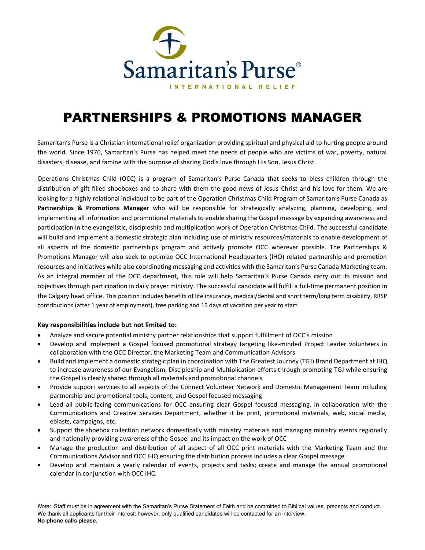

# PARTNERSHIPS & PROMOTIONS MANAGER

Samaritan's Purse is a Christian international relief organization providing spiritual and physical aid to hurting people around the world. Since 1970, Samaritan's Purse has helped meet the needs of people who are victims of war, poverty, natural disasters, disease, and famine with the purpose of sharing God's love through His Son, Jesus Christ.

Operations Christmas Child (OCC) is a program of Samaritan's Purse Canada that seeks to bless children through the distribution of gift filled shoeboxes and to share with them the good news of Jesus Christ and his love for them. We are looking for a highly relational individual to be part of the Operation Christmas Child Program of Samaritan's Purse Canada as **Partnerships & Promotions Manager** who will be responsible for strategically analyzing, planning, developing, and implementing all information and promotional materials to enable sharing the Gospel message by expanding awareness and participation in the evangelistic, discipleship and multiplication work of Operation Christmas Child. The successful candidate will build and implement a domestic strategic plan including use of ministry resources/materials to enable development of all aspects of the domestic partnerships program and actively promote OCC wherever possible. The Partnerships & Promotions Manager will also seek to optimize OCC International Headquarters (IHQ) related partnership and promotion resources and initiatives while also coordinating messaging and activities with the Samaritan's Purse Canada Marketing team. As an integral member of the OCC department, this role will help Samaritan's Purse Canada carry out its mission and objectives through participation in daily prayer ministry. The successful candidate will fulfill a full-time permanent position in the Calgary head office. This position includes benefits of life insurance, medical/dental and short term/long term disability, RRSP contributions (after 1 year of employment), free parking and 15 days of vacation per year to start.

### **Key responsibilities include but not limited to:**

- Analyze and secure potential ministry partner relationships that support fulfillment of OCC's mission
- Develop and implement a Gospel focused promotional strategy targeting like-minded Project Leader volunteers in collaboration with the OCC Director, the Marketing Team and Communication Advisors
- Build and implement a domestic strategic plan in coordination with The Greatest Journey (TGJ) Brand Department at IHQ to increase awareness of our Evangelism, Discipleship and Multiplication efforts through promoting TGJ while ensuring the Gospel is clearly shared through all materials and promotional channels
- Provide support services to all aspects of the Connect Volunteer Network and Domestic Management Team including partnership and promotional tools, content, and Gospel focused messaging
- Lead all public-facing communications for OCC ensuring clear Gospel focused messaging, in collaboration with the Communications and Creative Services Department, whether it be print, promotional materials, web, social media, eblasts, campaigns, etc.
- Support the shoebox collection network domestically with ministry materials and managing ministry events regionally and nationally providing awareness of the Gospel and its impact on the work of OCC
- Manage the production and distribution of all aspect of all OCC print materials with the Marketing Team and the Communications Advisor and OCC IHQ ensuring the distribution process includes a clear Gospel message
- Develop and maintain a yearly calendar of events, projects and tasks; create and manage the annual promotional calendar in conjunction with OCC IHQ